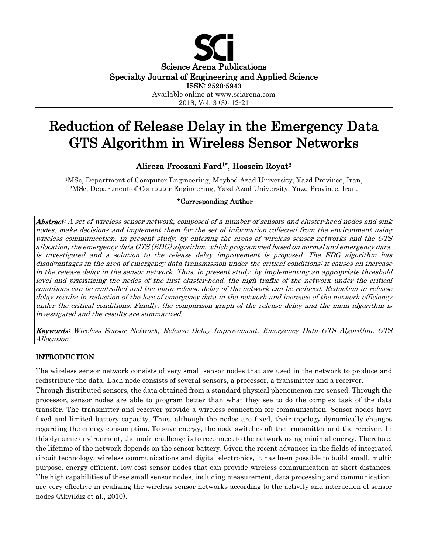

# Reduction of Release Delay in the Emergency Data GTS Algorithm in Wireless Sensor Networks

# Alireza Froozani Fard1\*, Hossein Royat2

1MSc, Department of Computer Engineering, Meybod Azad University, Yazd Province, Iran, 2MSc, Department of Computer Engineering, Yazd Azad University, Yazd Province, Iran.

# \*Corresponding Author

Abstract: A set of wireless sensor network, composed of a number of sensors and cluster-head nodes and sink nodes, make decisions and implement them for the set of information collected from the environment using wireless communication. In present study, by entering the areas of wireless sensor networks and the GTS allocation, the emergency data GTS (EDG) algorithm, which programmed based on normal and emergency data, is investigated and a solution to the release delay improvement is proposed. The EDG algorithm has disadvantages in the area of emergency data transmission under the critical conditions: it causes an increase in the release delay in the sensor network. Thus, in present study, by implementing an appropriate threshold level and prioritizing the nodes of the first cluster-head, the high traffic of the network under the critical conditions can be controlled and the main release delay of the network can be reduced. Reduction in release delay results in reduction of the loss of emergency data in the network and increase of the network efficiency under the critical conditions. Finally, the comparison graph of the release delay and the main algorithm is investigated and the results are summarized.

Keywords: Wireless Sensor Network, Release Delay Improvement, Emergency Data GTS Algorithm, GTS Allocation

# INTRODUCTION

The wireless sensor network consists of very small sensor nodes that are used in the network to produce and redistribute the data. Each node consists of several sensors, a processor, a transmitter and a receiver. Through distributed sensors, the data obtained from a standard physical phenomenon are sensed. Through the processor, sensor nodes are able to program better than what they see to do the complex task of the data transfer. The transmitter and receiver provide a wireless connection for communication. Sensor nodes have fixed and limited battery capacity. Thus, although the nodes are fixed, their topology dynamically changes regarding the energy consumption. To save energy, the node switches off the transmitter and the receiver. In this dynamic environment, the main challenge is to reconnect to the network using minimal energy. Therefore, the lifetime of the network depends on the sensor battery. Given the recent advances in the fields of integrated circuit technology, wireless communications and digital electronics, it has been possible to build small, multipurpose, energy efficient, low-cost sensor nodes that can provide wireless communication at short distances. The high capabilities of these small sensor nodes, including measurement, data processing and communication, are very effective in realizing the wireless sensor networks according to the activity and interaction of sensor nodes (Akyildiz et al., 2010).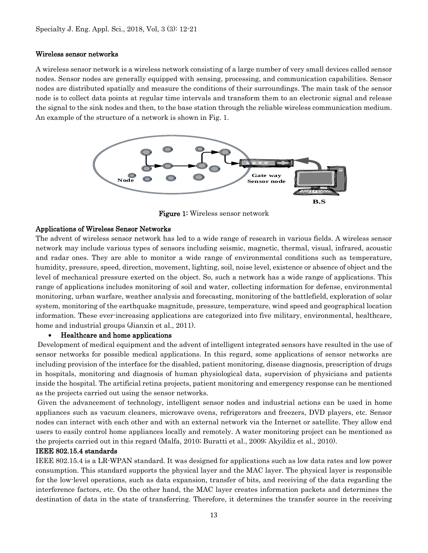## Wireless sensor networks

A wireless sensor network is a wireless network consisting of a large number of very small devices called sensor nodes. Sensor nodes are generally equipped with sensing, processing, and communication capabilities. Sensor nodes are distributed spatially and measure the conditions of their surroundings. The main task of the sensor node is to collect data points at regular time intervals and transform them to an electronic signal and release the signal to the sink nodes and then, to the base station through the reliable wireless communication medium. An example of the structure of a network is shown in Fig. 1.



Figure 1: Wireless sensor network

# Applications of Wireless Sensor Networks

The advent of wireless sensor network has led to a wide range of research in various fields. A wireless sensor network may include various types of sensors including seismic, magnetic, thermal, visual, infrared, acoustic and radar ones. They are able to monitor a wide range of environmental conditions such as temperature, humidity, pressure, speed, direction, movement, lighting, soil, noise level, existence or absence of object and the level of mechanical pressure exerted on the object. So, such a network has a wide range of applications. This range of applications includes monitoring of soil and water, collecting information for defense, environmental monitoring, urban warfare, weather analysis and forecasting, monitoring of the battlefield, exploration of solar system, monitoring of the earthquake magnitude, pressure, temperature, wind speed and geographical location information. These ever-increasing applications are categorized into five military, environmental, healthcare, home and industrial groups (Jianxin et al., 2011).

# • Healthcare and home applications

Development of medical equipment and the advent of intelligent integrated sensors have resulted in the use of sensor networks for possible medical applications. In this regard, some applications of sensor networks are including provision of the interface for the disabled, patient monitoring, disease diagnosis, prescription of drugs in hospitals, monitoring and diagnosis of human physiological data, supervision of physicians and patients inside the hospital. The artificial retina projects, patient monitoring and emergency response can be mentioned as the projects carried out using the sensor networks.

Given the advancement of technology, intelligent sensor nodes and industrial actions can be used in home appliances such as vacuum cleaners, microwave ovens, refrigerators and freezers, DVD players, etc. Sensor nodes can interact with each other and with an external network via the Internet or satellite. They allow end users to easily control home appliances locally and remotely. A water monitoring project can be mentioned as the projects carried out in this regard (Malfa, 2010; Buratti et al., 2009; Akyildiz et al., 2010).

#### IEEE 802.15.4 standards

IEEE 802.15.4 is a LR-WPAN standard. It was designed for applications such as low data rates and low power consumption. This standard supports the physical layer and the MAC layer. The physical layer is responsible for the low-level operations, such as data expansion, transfer of bits, and receiving of the data regarding the interference factors, etc. On the other hand, the MAC layer creates information packets and determines the destination of data in the state of transferring. Therefore, it determines the transfer source in the receiving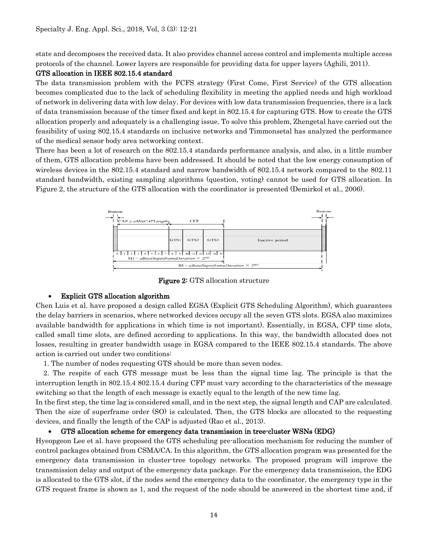state and decomposes the received data. It also provides channel access control and implements multiple access protocols of the channel. Lower layers are responsible for providing data for upper layers (Aghili, 2011).

## GTS allocation in IEEE 802.15.4 standard

The data transmission problem with the FCFS strategy (First Come, First Service) of the GTS allocation becomes complicated due to the lack of scheduling flexibility in meeting the applied needs and high workload of network in delivering data with low delay. For devices with low data transmission frequencies, there is a lack of data transmission because of the timer fixed and kept in 802.15.4 for capturing GTS. How to create the GTS allocation properly and adequately is a challenging issue. To solve this problem, Zhengetal have carried out the feasibility of using 802.15.4 standards on inclusive networks and Timmonsetal has analyzed the performance of the medical sensor body area networking context.

There has been a lot of research on the 802.15.4 standards performance analysis, and also, in a little number of them, GTS allocation problems have been addressed. It should be noted that the low energy consumption of wireless devices in the 802.15.4 standard and narrow bandwidth of 802.15.4 network compared to the 802.11 standard bandwidth, existing sampling algorithms (question, voting) cannot be used for GTS allocation. In Figure 2, the structure of the GTS allocation with the coordinator is presented (Demirkol et al., 2006).



**Figure 2:** GTS allocation structure

# • Explicit GTS allocation algorithm

Chen Luis et al. have proposed a design called EGSA (Explicit GTS Scheduling Algorithm), which guarantees the delay barriers in scenarios, where networked devices occupy all the seven GTS slots. EGSA also maximizes available bandwidth for applications in which time is not important). Essentially, in EGSA, CFP time slots, called small time slots, are defined according to applications. In this way, the bandwidth allocated does not losses, resulting in greater bandwidth usage in EGSA compared to the IEEE 802.15.4 standards. The above action is carried out under two conditions:

1. The number of nodes requesting GTS should be more than seven nodes.

 2. The respite of each GTS message must be less than the signal time lag. The principle is that the interruption length in 802.15.4 802.15.4 during CFP must vary according to the characteristics of the message switching so that the length of each message is exactly equal to the length of the new time lag.

In the first step, the time lag is considered small, and in the next step, the signal length and CAP are calculated. Then the size of superframe order (SO) is calculated. Then, the GTS blocks are allocated to the requesting devices, and finally the length of the CAP is adjusted (Rao et al., 2013).

# • GTS allocation scheme for emergency data transmission in tree-cluster WSNs (EDG)

Hyeopgeon Lee et al. have proposed the GTS scheduling pre-allocation mechanism for reducing the number of control packages obtained from CSMA/CA. In this algorithm, the GTS allocation program was presented for the emergency data transmission in cluster-tree topology networks. The proposed program will improve the transmission delay and output of the emergency data package. For the emergency data transmission, the EDG is allocated to the GTS slot, if the nodes send the emergency data to the coordinator, the emergency type in the GTS request frame is shown as 1, and the request of the node should be answered in the shortest time and, if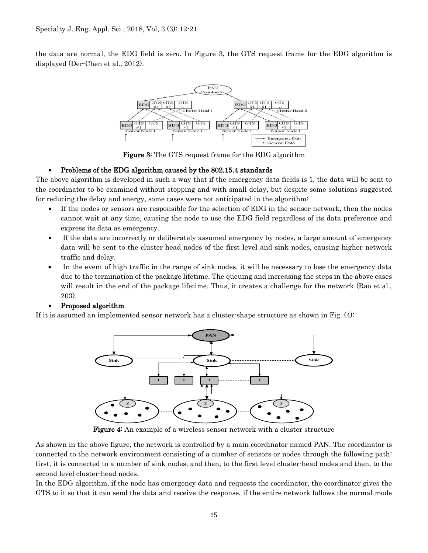the data are normal, the EDG field is zero. In Figure 3, the GTS request frame for the EDG algorithm is displayed (Der-Chen et al., 2012).



**Figure 3:** The GTS request frame for the EDG algorithm

# • Problems of the EDG algorithm caused by the 802.15.4 standards

The above algorithm is developed in such a way that if the emergency data fields is 1, the data will be sent to the coordinator to be examined without stopping and with small delay, but despite some solutions suggested for reducing the delay and energy, some cases were not anticipated in the algorithm:

- If the nodes or sensors are responsible for the selection of EDG in the sensor network, then the nodes cannot wait at any time, causing the node to use the EDG field regardless of its data preference and express its data as emergency.
- If the data are incorrectly or deliberately assumed emergency by nodes, a large amount of emergency data will be sent to the cluster-head nodes of the first level and sink nodes, causing higher network traffic and delay.
- In the event of high traffic in the range of sink nodes, it will be necessary to lose the emergency data due to the termination of the package lifetime. The queuing and increasing the steps in the above cases will result in the end of the package lifetime. Thus, it creates a challenge for the network (Rao et al., 203).

# • Proposed algorithm

If it is assumed an implemented sensor network has a cluster-shape structure as shown in Fig. (4):



Figure 4: An example of a wireless sensor network with a cluster structure

As shown in the above figure, the network is controlled by a main coordinator named PAN. The coordinator is connected to the network environment consisting of a number of sensors or nodes through the following path: first, it is connected to a number of sink nodes, and then, to the first level cluster-head nodes and then, to the second level cluster-head nodes.

In the EDG algorithm, if the node has emergency data and requests the coordinator, the coordinator gives the GTS to it so that it can send the data and receive the response, if the entire network follows the normal mode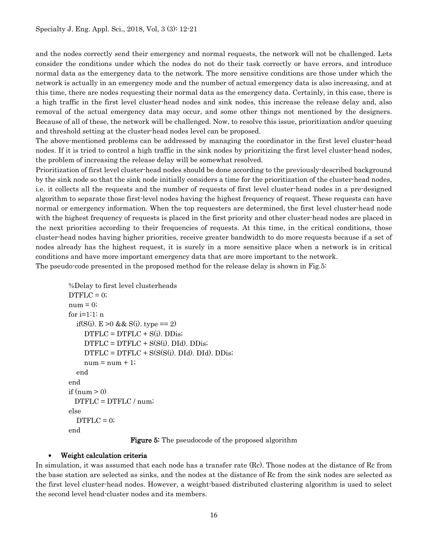and the nodes correctly send their emergency and normal requests, the network will not be challenged. Lets consider the conditions under which the nodes do not do their task correctly or have errors, and introduce normal data as the emergency data to the network. The more sensitive conditions are those under which the network is actually in an emergency mode and the number of actual emergency data is also increasing, and at this time, there are nodes requesting their normal data as the emergency data. Certainly, in this case, there is a high traffic in the first level cluster-head nodes and sink nodes, this increase the release delay and, also removal of the actual emergency data may occur, and some other things not mentioned by the designers. Because of all of these, the network will be challenged. Now, to resolve this issue, prioritization and/or queuing and threshold setting at the cluster-head nodes level can be proposed.

The above-mentioned problems can be addressed by managing the coordinator in the first level cluster-head nodes. If it is tried to control a high traffic in the sink nodes by prioritizing the first level cluster-head nodes, the problem of increasing the release delay will be somewhat resolved.

Prioritization of first level cluster-head nodes should be done according to the previously-described background by the sink node so that the sink node initially considers a time for the prioritization of the cluster-head nodes, i.e. it collects all the requests and the number of requests of first level cluster-head nodes in a pre-designed algorithm to separate those first-level nodes having the highest frequency of request. These requests can have normal or emergency information. When the top requesters are determined, the first level cluster-head node with the highest frequency of requests is placed in the first priority and other cluster-head nodes are placed in the next priorities according to their frequencies of requests. At this time, in the critical conditions, those cluster-head nodes having higher priorities, receive greater bandwidth to do more requests because if a set of nodes already has the highest request, it is surely in a more sensitive place when a network is in critical conditions and have more important emergency data that are more important to the network. The pseudo-code presented in the proposed method for the release delay is shown in Fig.5:

```
 %Delay to first level clusterheads
DTFLC = 0;num = 0;
 for i=1:1: n
  if(S(i). E > 0 & & S(i). type == 2)
    DTFLC = DTFLC + S(i). DDis;DTFLC = DTFLC + S(S(i). DId). DDis;
    DTFLC = DTFLC + S(S(S(i), DId), DId). DDis;
    num = num + 1; end
 end
if (num > 0) DTFLC = DTFLC / num;
 else
  DTFLC = 0; end
```
**Figure 5:** The pseudocode of the proposed algorithm

## • Weight calculation criteria

In simulation, it was assumed that each node has a transfer rate (Rc). Those nodes at the distance of Rc from the base station are selected as sinks, and the nodes at the distance of Rc from the sink nodes are selected as the first level cluster-head nodes. However, a weight-based distributed clustering algorithm is used to select the second level head-cluster nodes and its members.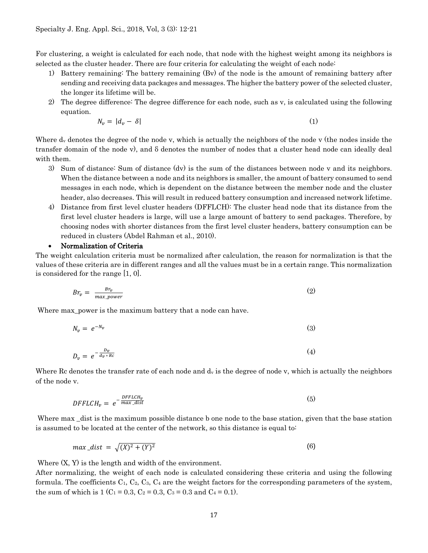For clustering, a weight is calculated for each node, that node with the highest weight among its neighbors is selected as the cluster header. There are four criteria for calculating the weight of each node:

- 1) Battery remaining: The battery remaining (Bv) of the node is the amount of remaining battery after sending and receiving data packages and messages. The higher the battery power of the selected cluster, the longer its lifetime will be.
- 2) The degree difference: The degree difference for each node, such as v, is calculated using the following equation.

$$
N_v = |d_v - \delta| \tag{1}
$$

Where  $d_v$  denotes the degree of the node v, which is actually the neighbors of the node v (the nodes inside the transfer domain of the node v), and δ denotes the number of nodes that a cluster head node can ideally deal with them.

- 3) Sum of distance: Sum of distance (dv) is the sum of the distances between node v and its neighbors. When the distance between a node and its neighbors is smaller, the amount of battery consumed to send messages in each node, which is dependent on the distance between the member node and the cluster header, also decreases. This will result in reduced battery consumption and increased network lifetime.
- 4) Distance from first level cluster headers (DFFLCH): The cluster head node that its distance from the first level cluster headers is large, will use a large amount of battery to send packages. Therefore, by choosing nodes with shorter distances from the first level cluster headers, battery consumption can be reduced in clusters (Abdel Rahman et al., 2010).

#### • Normalization of Criteria

The weight calculation criteria must be normalized after calculation, the reason for normalization is that the values of these criteria are in different ranges and all the values must be in a certain range. This normalization is considered for the range [1, 0].

$$
Br_v = \frac{Br_v}{max\_power} \tag{2}
$$

Where max\_power is the maximum battery that a node can have.

$$
N_v = e^{-N_v} \tag{3}
$$

$$
D_v = e^{-\frac{D_v}{d_v * Rc}} \tag{4}
$$

Where Rc denotes the transfer rate of each node and  $d_v$  is the degree of node v, which is actually the neighbors of the node v.

$$
DFFLCH_v = e^{-\frac{DFFLCH_v}{max\_dist}}
$$
\n<sup>(5)</sup>

Where max \_dist is the maximum possible distance b one node to the base station, given that the base station is assumed to be located at the center of the network, so this distance is equal to:

$$
max\_dist = \sqrt{(X)^2 + (Y)^2}
$$
 (6)

Where  $(X, Y)$  is the length and width of the environment.

After normalizing, the weight of each node is calculated considering these criteria and using the following formula. The coefficients  $C_1$ ,  $C_2$ ,  $C_3$ ,  $C_4$  are the weight factors for the corresponding parameters of the system, the sum of which is 1 (C<sub>1</sub> = 0.3, C<sub>2</sub> = 0.3, C<sub>3</sub> = 0.3 and C<sub>4</sub> = 0.1).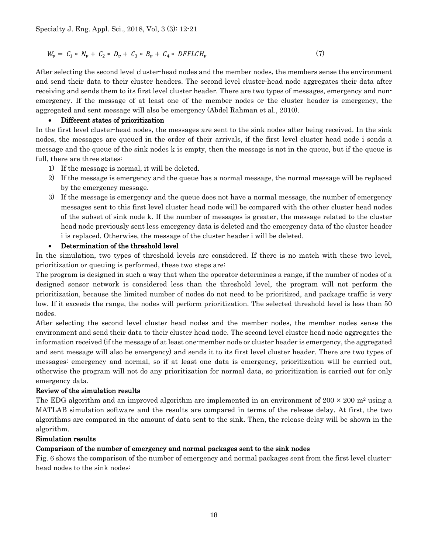$$
W_v = C_1 * N_v + C_2 * D_v + C_3 * B_v + C_4 * DFFLCH_v
$$
\n(7)

After selecting the second level cluster-head nodes and the member nodes, the members sense the environment and send their data to their cluster headers. The second level cluster-head node aggregates their data after receiving and sends them to its first level cluster header. There are two types of messages, emergency and nonemergency. If the message of at least one of the member nodes or the cluster header is emergency, the aggregated and sent message will also be emergency (Abdel Rahman et al., 2010).

## • Different states of prioritization

In the first level cluster-head nodes, the messages are sent to the sink nodes after being received. In the sink nodes, the messages are queued in the order of their arrivals, if the first level cluster head node i sends a message and the queue of the sink nodes k is empty, then the message is not in the queue, but if the queue is full, there are three states:

- 1) If the message is normal, it will be deleted.
- 2) If the message is emergency and the queue has a normal message, the normal message will be replaced by the emergency message.
- 3) If the message is emergency and the queue does not have a normal message, the number of emergency messages sent to this first level cluster head node will be compared with the other cluster head nodes of the subset of sink node k. If the number of messages is greater, the message related to the cluster head node previously sent less emergency data is deleted and the emergency data of the cluster header i is replaced. Otherwise, the message of the cluster header i will be deleted.

## • Determination of the threshold level

In the simulation, two types of threshold levels are considered. If there is no match with these two level, prioritization or queuing is performed, these two steps are:

The program is designed in such a way that when the operator determines a range, if the number of nodes of a designed sensor network is considered less than the threshold level, the program will not perform the prioritization, because the limited number of nodes do not need to be prioritized, and package traffic is very low. If it exceeds the range, the nodes will perform prioritization. The selected threshold level is less than 50 nodes.

After selecting the second level cluster head nodes and the member nodes, the member nodes sense the environment and send their data to their cluster head node. The second level cluster head node aggregates the information received (if the message of at least one-member node or cluster header is emergency, the aggregated and sent message will also be emergency) and sends it to its first level cluster header. There are two types of messages: emergency and normal, so if at least one data is emergency, prioritization will be carried out, otherwise the program will not do any prioritization for normal data, so prioritization is carried out for only emergency data.

#### Review of the simulation results

The EDG algorithm and an improved algorithm are implemented in an environment of  $200 \times 200$  m<sup>2</sup> using a MATLAB simulation software and the results are compared in terms of the release delay. At first, the two algorithms are compared in the amount of data sent to the sink. Then, the release delay will be shown in the algorithm.

#### Simulation results

# Comparison of the number of emergency and normal packages sent to the sink nodes

Fig. 6 shows the comparison of the number of emergency and normal packages sent from the first level clusterhead nodes to the sink nodes: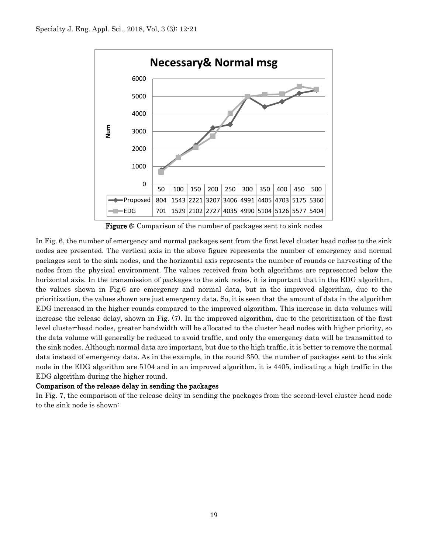

Figure 6: Comparison of the number of packages sent to sink nodes

In Fig. 6, the number of emergency and normal packages sent from the first level cluster head nodes to the sink nodes are presented. The vertical axis in the above figure represents the number of emergency and normal packages sent to the sink nodes, and the horizontal axis represents the number of rounds or harvesting of the nodes from the physical environment. The values received from both algorithms are represented below the horizontal axis. In the transmission of packages to the sink nodes, it is important that in the EDG algorithm, the values shown in Fig.6 are emergency and normal data, but in the improved algorithm, due to the prioritization, the values shown are just emergency data. So, it is seen that the amount of data in the algorithm EDG increased in the higher rounds compared to the improved algorithm. This increase in data volumes will increase the release delay, shown in Fig. (7). In the improved algorithm, due to the prioritization of the first level cluster-head nodes, greater bandwidth will be allocated to the cluster head nodes with higher priority, so the data volume will generally be reduced to avoid traffic, and only the emergency data will be transmitted to the sink nodes. Although normal data are important, but due to the high traffic, it is better to remove the normal data instead of emergency data. As in the example, in the round 350, the number of packages sent to the sink node in the EDG algorithm are 5104 and in an improved algorithm, it is 4405, indicating a high traffic in the EDG algorithm during the higher round.

# Comparison of the release delay in sending the packages

In Fig. 7, the comparison of the release delay in sending the packages from the second-level cluster head node to the sink node is shown: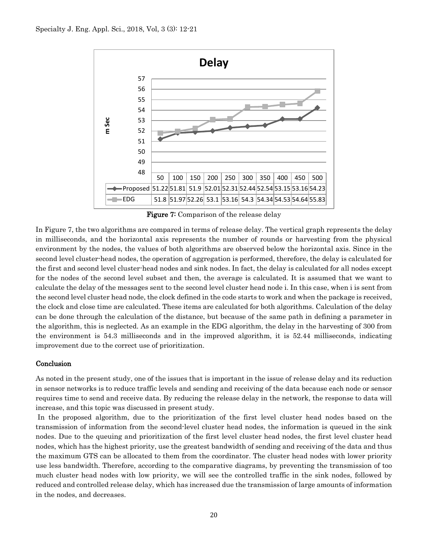

Figure 7: Comparison of the release delay

In Figure 7, the two algorithms are compared in terms of release delay. The vertical graph represents the delay in milliseconds, and the horizontal axis represents the number of rounds or harvesting from the physical environment by the nodes, the values of both algorithms are observed below the horizontal axis. Since in the second level cluster-head nodes, the operation of aggregation is performed, therefore, the delay is calculated for the first and second level cluster-head nodes and sink nodes. In fact, the delay is calculated for all nodes except for the nodes of the second level subset and then, the average is calculated. It is assumed that we want to calculate the delay of the messages sent to the second level cluster head node i. In this case, when i is sent from the second level cluster head node, the clock defined in the code starts to work and when the package is received, the clock and close time are calculated. These items are calculated for both algorithms. Calculation of the delay can be done through the calculation of the distance, but because of the same path in defining a parameter in the algorithm, this is neglected. As an example in the EDG algorithm, the delay in the harvesting of 300 from the environment is 54.3 milliseconds and in the improved algorithm, it is 52.44 milliseconds, indicating improvement due to the correct use of prioritization.

#### Conclusion

As noted in the present study, one of the issues that is important in the issue of release delay and its reduction in sensor networks is to reduce traffic levels and sending and receiving of the data because each node or sensor requires time to send and receive data. By reducing the release delay in the network, the response to data will increase, and this topic was discussed in present study.

In the proposed algorithm, due to the prioritization of the first level cluster head nodes based on the transmission of information from the second-level cluster head nodes, the information is queued in the sink nodes. Due to the queuing and prioritization of the first level cluster head nodes, the first level cluster head nodes, which has the highest priority, use the greatest bandwidth of sending and receiving of the data and thus the maximum GTS can be allocated to them from the coordinator. The cluster head nodes with lower priority use less bandwidth. Therefore, according to the comparative diagrams, by preventing the transmission of too much cluster head nodes with low priority, we will see the controlled traffic in the sink nodes, followed by reduced and controlled release delay, which has increased due the transmission of large amounts of information in the nodes, and decreases.